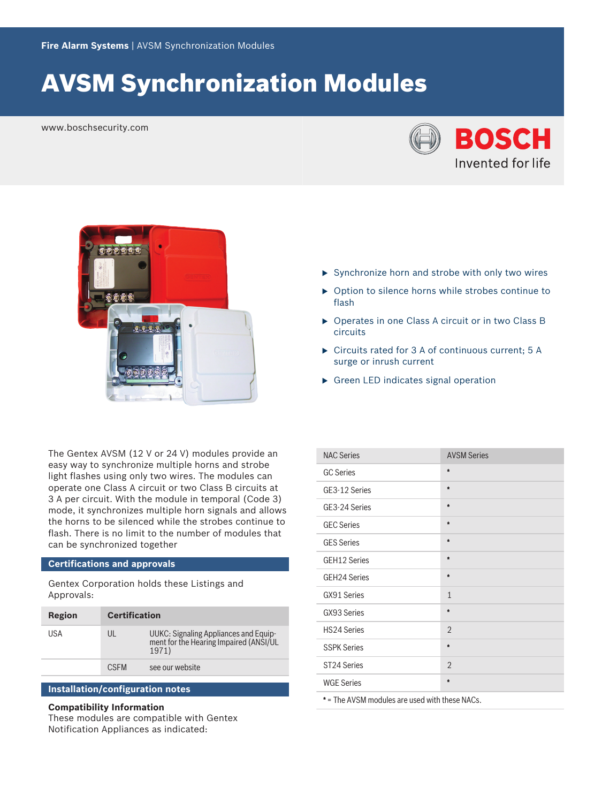# AVSM Synchronization Modules

www.boschsecurity.com





The Gentex AVSM (12 V or 24 V) modules provide an easy way to synchronize multiple horns and strobe light flashes using only two wires. The modules can operate one Class A circuit or two Class B circuits at 3 A per circuit. With the module in temporal (Code 3) mode, it synchronizes multiple horn signals and allows the horns to be silenced while the strobes continue to flash. There is no limit to the number of modules that can be synchronized together

### **Certifications and approvals**

Gentex Corporation holds these Listings and Approvals:

| Region | <b>Certification</b> |                                                                                          |
|--------|----------------------|------------------------------------------------------------------------------------------|
| USA    | UL                   | UUKC: Signaling Appliances and Equip-<br>ment for the Hearing Impaired (ANSI/UL<br>1971) |
|        | <b>CSEM</b>          | see our website                                                                          |

#### **Installation/configuration notes**

#### **Compatibility Information**

These modules are compatible with Gentex Notification Appliances as indicated:

- $\triangleright$  Synchronize horn and strobe with only two wires
- $\triangleright$  Option to silence horns while strobes continue to flash
- $\triangleright$  Operates in one Class A circuit or in two Class B circuits
- $\triangleright$  Circuits rated for 3 A of continuous current; 5 A surge or inrush current
- $\triangleright$  Green LED indicates signal operation

| <b>NAC Series</b>   | <b>AVSM Series</b> |
|---------------------|--------------------|
| <b>GC Series</b>    | $\bullet$          |
| GE3-12 Series       | *                  |
| GE3-24 Series       | $\pmb{\hat{\pi}}$  |
| <b>GEC Series</b>   | $\ast$             |
| <b>GES Series</b>   | $\ast$             |
| GEH12 Series        | $\bullet$          |
| <b>GEH24 Series</b> | $\ast$             |
| GX91 Series         | $\mathbf{1}$       |
| GX93 Series         | $\ast$             |
| <b>HS24 Series</b>  | $\overline{2}$     |
| <b>SSPK Series</b>  | $\bullet$          |
| ST24 Series         | $\overline{2}$     |
| <b>WGE Series</b>   | $\pmb{\ast}$       |
| . .                 |                    |

\* = The AVSM modules are used with these NACs.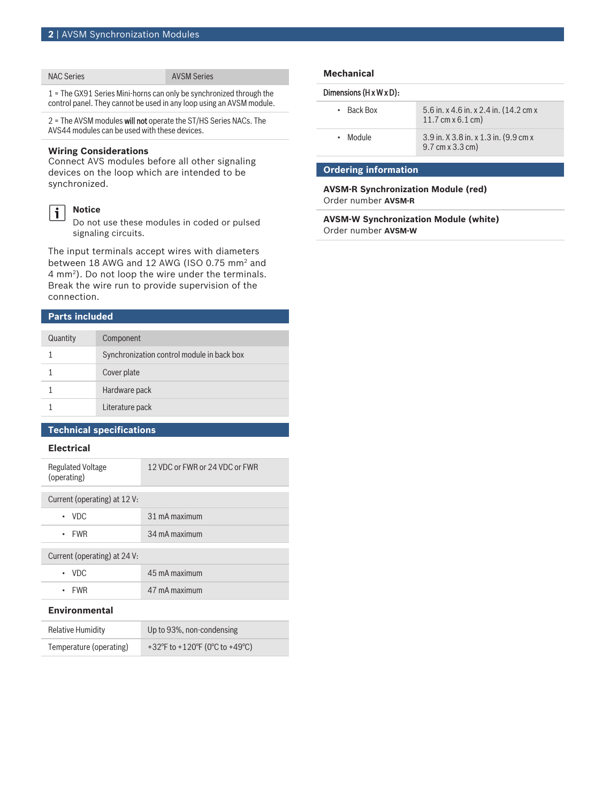#### NAC Series **AVSM** Series

1 = The GX91 Series Mini-horns can only be synchronized through the control panel. They cannot be used in any loop using an AVSM module.

2 = The AVSM modules will not operate the ST/HS Series NACs. The AVS44 modules can be used with these devices.

#### **Wiring Considerations**

**Notice**

Connect AVS modules before all other signaling devices on the loop which are intended to be synchronized.

## $\mathbf i$

Do not use these modules in coded or pulsed signaling circuits.

The input terminals accept wires with diameters between 18 AWG and 12 AWG (ISO 0.75 mm<sup>2</sup> and  $4 \text{ mm}^2$ ). Do not loop the wire under the terminals. Break the wire run to provide supervision of the connection.

#### **Parts included**

| Quantity | Component                                  |
|----------|--------------------------------------------|
|          | Synchronization control module in back box |
|          | Cover plate                                |
|          | Hardware pack                              |
|          | Literature pack                            |

### **Technical specifications**

#### **Electrical**

| <b>Regulated Voltage</b><br>(operating) | 12 VDC or FWR or 24 VDC or FWR |  |
|-----------------------------------------|--------------------------------|--|
|                                         |                                |  |
| Current (operating) at 12 V:            |                                |  |
| $\cdot$ VDC                             | 31 mA maximum                  |  |
|                                         |                                |  |
| $\cdot$ FWR                             | 34 mA maximum                  |  |
|                                         |                                |  |
|                                         |                                |  |
| Current (operating) at 24 V:            |                                |  |
| $\cdot$ VDC                             | 45 mA maximum                  |  |
|                                         |                                |  |
| <b>FWR</b>                              | 47 mA maximum                  |  |
|                                         |                                |  |
|                                         |                                |  |

### **Environmental**

| <b>Relative Humidity</b> | Up to 93%, non-condensing      |
|--------------------------|--------------------------------|
| Temperature (operating)  | +32°F to +120°F (0°C to +49°C) |

#### **Mechanical**

#### Dimensions (H x W x D):

| $\cdot$ Back Box | 5.6 in. x 4.6 in. x 2.4 in. (14.2 cm x<br>11.7 cm $x 6.1$ cm)                   |
|------------------|---------------------------------------------------------------------------------|
| • Module         | 3.9 in. X 3.8 in. x 1.3 in. (9.9 cm x<br>$9.7 \text{ cm} \times 3.3 \text{ cm}$ |

### **Ordering information**

#### **AVSM‑R Synchronization Module (red)** Order number **AVSM‑R**

**AVSM‑W Synchronization Module (white)** Order number **AVSM‑W**